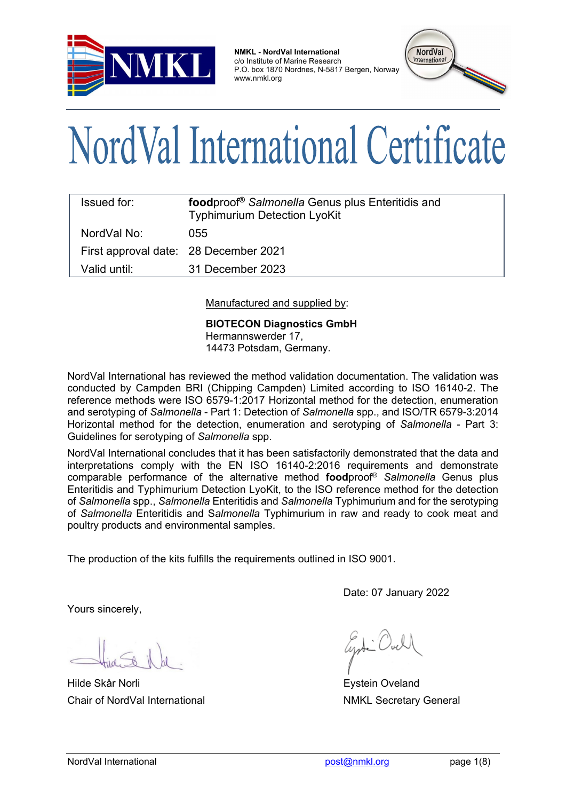

**NMKL - NordVal International** c/o Institute of Marine Research P.O. box 1870 Nordnes, N-5817 Bergen, Norway www.nmkl.org



# NordVal International Certificate

| Issued for:  | foodproof <sup>®</sup> Salmonella Genus plus Enteritidis and<br><b>Typhimurium Detection LyoKit</b> |
|--------------|-----------------------------------------------------------------------------------------------------|
| NordVal No:  | 055                                                                                                 |
|              | First approval date: 28 December 2021                                                               |
| Valid until: | 31 December 2023                                                                                    |

Manufactured and supplied by:

**BIOTECON Diagnostics GmbH** Hermannswerder 17, 14473 Potsdam, Germany.

NordVal International has reviewed the method validation documentation. The validation was conducted by Campden BRI (Chipping Campden) Limited according to ISO 16140-2. The reference methods were ISO 6579-1:2017 Horizontal method for the detection, enumeration and serotyping of *Salmonella* - Part 1: Detection of *Salmonella* spp., and ISO/TR 6579-3:2014 Horizontal method for the detection, enumeration and serotyping of *Salmonella* - Part 3: Guidelines for serotyping of *Salmonella* spp.

NordVal International concludes that it has been satisfactorily demonstrated that the data and interpretations comply with the EN ISO 16140-2:2016 requirements and demonstrate comparable performance of the alternative method **food**proof® *Salmonella* Genus plus Enteritidis and Typhimurium Detection LyoKit, to the ISO reference method for the detection of *Salmonella* spp., *Salmonella* Enteritidis and *Salmonella* Typhimurium and for the serotyping of *Salmonella* Enteritidis and S*almonella* Typhimurium in raw and ready to cook meat and poultry products and environmental samples.

The production of the kits fulfills the requirements outlined in ISO 9001.

Date: 07 January 2022

Yours sincerely,

**Hilde Skår Norli Eystein Oveland** Chair of NordVal International **NAKL Secretary General** NMKL Secretary General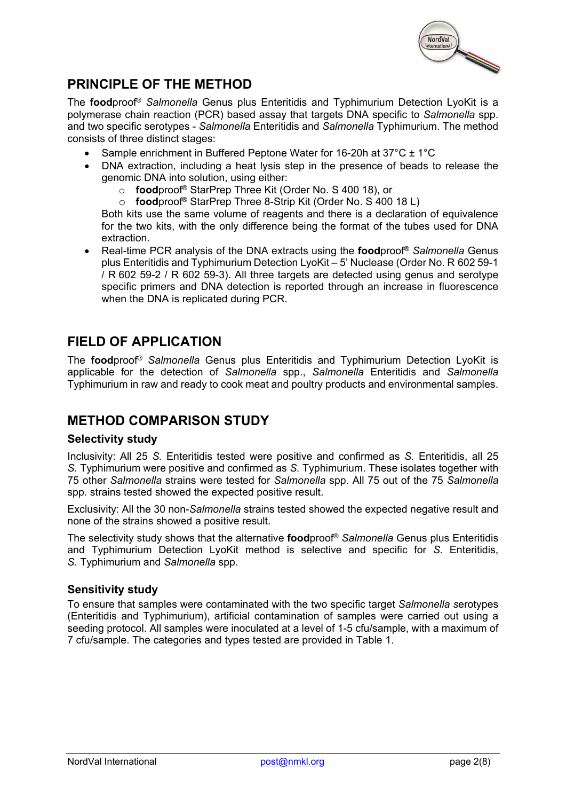

## **PRINCIPLE OF THE METHOD**

The **food**proof® *Salmonella* Genus plus Enteritidis and Typhimurium Detection LyoKit is a polymerase chain reaction (PCR) based assay that targets DNA specific to *Salmonella* spp. and two specific serotypes - *Salmonella* Enteritidis and *Salmonella* Typhimurium. The method consists of three distinct stages:

- Sample enrichment in Buffered Peptone Water for 16-20h at 37°C ± 1°C
- DNA extraction, including a heat lysis step in the presence of beads to release the genomic DNA into solution, using either:
	- o **food**proof® StarPrep Three Kit (Order No. S 400 18), or
	- o **food**proof® StarPrep Three 8-Strip Kit (Order No. S 400 18 L)

Both kits use the same volume of reagents and there is a declaration of equivalence for the two kits, with the only difference being the format of the tubes used for DNA extraction.

• Real-time PCR analysis of the DNA extracts using the **food**proof® *Salmonella* Genus plus Enteritidis and Typhimurium Detection LyoKit – 5' Nuclease (Order No. R 602 59-1 / R 602 59-2 / R 602 59-3). All three targets are detected using genus and serotype specific primers and DNA detection is reported through an increase in fluorescence when the DNA is replicated during PCR.

## **FIELD OF APPLICATION**

The **food**proof® *Salmonella* Genus plus Enteritidis and Typhimurium Detection LyoKit is applicable for the detection of *Salmonella* spp., *Salmonella* Enteritidis and *Salmonella* Typhimurium in raw and ready to cook meat and poultry products and environmental samples.

## **METHOD COMPARISON STUDY**

#### **Selectivity study**

Inclusivity: All 25 *S.* Enteritidis tested were positive and confirmed as *S.* Enteritidis, all 25 *S.* Typhimurium were positive and confirmed as *S.* Typhimurium. These isolates together with 75 other *Salmonella* strains were tested for *Salmonella* spp. All 75 out of the 75 *Salmonella* spp. strains tested showed the expected positive result.

Exclusivity: All the 30 non-*Salmonella* strains tested showed the expected negative result and none of the strains showed a positive result.

The selectivity study shows that the alternative **food**proof® *Salmonella* Genus plus Enteritidis and Typhimurium Detection LyoKit method is selective and specific for *S.* Enteritidis, *S.* Typhimurium and *Salmonella* spp.

#### **Sensitivity study**

To ensure that samples were contaminated with the two specific target *Salmonella s*erotypes (Enteritidis and Typhimurium), artificial contamination of samples were carried out using a seeding protocol. All samples were inoculated at a level of 1-5 cfu/sample, with a maximum of 7 cfu/sample. The categories and types tested are provided in Table 1.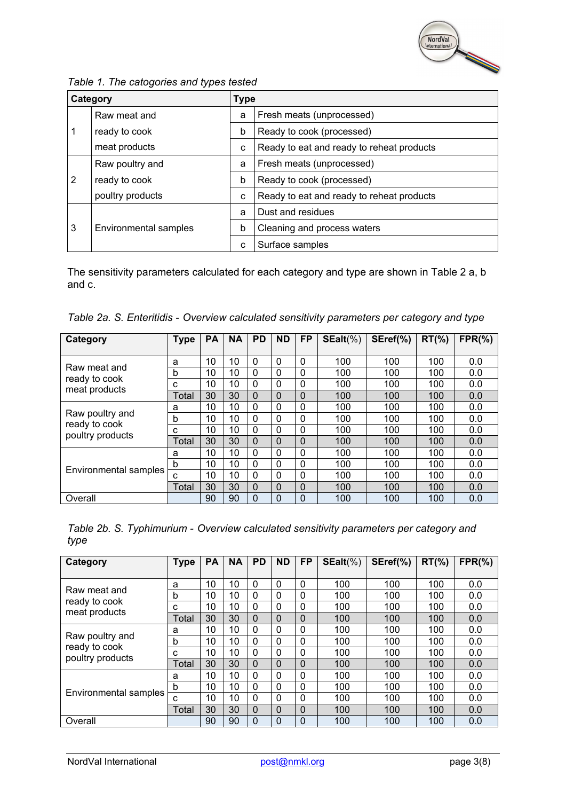

*Table 1. The catogories and types tested*

|   | Category              | <b>Type</b> |                                           |
|---|-----------------------|-------------|-------------------------------------------|
|   | Raw meat and          | a           | Fresh meats (unprocessed)                 |
|   | ready to cook         | b           | Ready to cook (processed)                 |
|   | meat products         | c           | Ready to eat and ready to reheat products |
|   | Raw poultry and       | a           | Fresh meats (unprocessed)                 |
| 2 | ready to cook         | b           | Ready to cook (processed)                 |
|   | poultry products      | c           | Ready to eat and ready to reheat products |
|   |                       | a           | Dust and residues                         |
| 3 | Environmental samples | b           | Cleaning and process waters               |
|   |                       | C           | Surface samples                           |

The sensitivity parameters calculated for each category and type are shown in Table 2 a, b and c.

|  |  | Table 2a. S. Enteritidis - Overview calculated sensitivity parameters per category and type |  |  |
|--|--|---------------------------------------------------------------------------------------------|--|--|
|--|--|---------------------------------------------------------------------------------------------|--|--|

| Category                          | <b>Type</b> | <b>PA</b> | <b>NA</b> | <b>PD</b> | <b>ND</b> | <b>FP</b> | $SEalt(\%)$ | SEref(%) | $RT(\% )$ | $FPR(\% )$ |
|-----------------------------------|-------------|-----------|-----------|-----------|-----------|-----------|-------------|----------|-----------|------------|
|                                   |             |           |           |           |           |           |             |          |           |            |
| Raw meat and                      | a           | 10        | 10        | 0         | 0         | 0         | 100         | 100      | 100       | 0.0        |
|                                   | b           | 10        | 10        | 0         | 0         | $\Omega$  | 100         | 100      | 100       | 0.0        |
| ready to cook<br>meat products    | c           | 10        | 10        | $\Omega$  | 0         | 0         | 100         | 100      | 100       | 0.0        |
|                                   | Total       | 30        | 30        | 0         | 0         | 0         | 100         | 100      | 100       | 0.0        |
|                                   | a           | 10        | 10        | $\Omega$  | 0         | 0         | 100         | 100      | 100       | 0.0        |
| Raw poultry and                   | b           | 10        | 10        | 0         | 0         | 0         | 100         | 100      | 100       | 0.0        |
| ready to cook<br>poultry products | c           | 10        | 10        | 0         | 0         | 0         | 100         | 100      | 100       | 0.0        |
|                                   | Total       | 30        | 30        | 0         | 0         | 0         | 100         | 100      | 100       | 0.0        |
|                                   | a           | 10        | 10        | 0         | 0         | 0         | 100         | 100      | 100       | 0.0        |
|                                   | b           | 10        | 10        | 0         | 0         | 0         | 100         | 100      | 100       | 0.0        |
| Environmental samples             | С           | 10        | 10        | $\Omega$  | 0         | 0         | 100         | 100      | 100       | 0.0        |
|                                   | Total       | 30        | 30        | 0         | 0         | 0         | 100         | 100      | 100       | 0.0        |
| Overall                           |             | 90        | 90        | 0         | 0         | 0         | 100         | 100      | 100       | 0.0        |

| Table 2b. S. Typhimurium - Overview calculated sensitivity parameters per category and |  |  |
|----------------------------------------------------------------------------------------|--|--|
| type                                                                                   |  |  |

| Category                         | <b>Type</b> | <b>PA</b>       | <b>NA</b> | <b>PD</b> | <b>ND</b> | <b>FP</b> | $SEalt(\%)$ | SEref(%) | $RT(\% )$ | $FPR(\% )$ |
|----------------------------------|-------------|-----------------|-----------|-----------|-----------|-----------|-------------|----------|-----------|------------|
|                                  |             |                 |           |           |           |           |             |          |           |            |
| Raw meat and                     | a           | 10              | 10        | $\Omega$  | $\Omega$  | 0         | 100         | 100      | 100       | 0.0        |
|                                  | b           | 10              | 10        | 0         | 0         | 0         | 100         | 100      | 100       | 0.0        |
| ready to cook<br>meat products   | C           | 10 <sup>°</sup> | 10        | 0         | 0         | 0         | 100         | 100      | 100       | 0.0        |
|                                  | Total       | 30              | 30        | 0         | 0         | 0         | 100         | 100      | 100       | 0.0        |
|                                  | a           | 10              | 10        | 0         | 0         | 0         | 100         | 100      | 100       | 0.0        |
| Raw poultry and<br>ready to cook | b           | 10              | 10        | 0         | 0         | 0         | 100         | 100      | 100       | 0.0        |
| poultry products                 | C           | 10              | 10        | 0         | 0         | 0         | 100         | 100      | 100       | 0.0        |
|                                  | Total       | 30              | 30        | 0         | 0         | 0         | 100         | 100      | 100       | 0.0        |
|                                  | a           | 10              | 10        | 0         | 0         | 0         | 100         | 100      | 100       | 0.0        |
|                                  | b           | 10              | 10        | 0         | 0         | 0         | 100         | 100      | 100       | 0.0        |
| Environmental samples            | c           | 10              | 10        | $\Omega$  | 0         | 0         | 100         | 100      | 100       | 0.0        |
|                                  | Total       | 30              | 30        | 0         | 0         | 0         | 100         | 100      | 100       | 0.0        |
| Overall                          |             | 90              | 90        | 0         | 0         | 0         | 100         | 100      | 100       | 0.0        |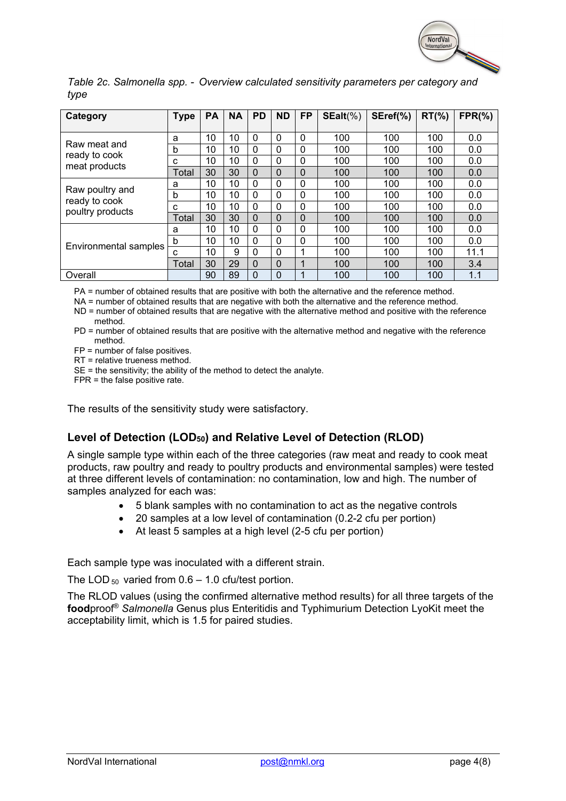

|      |  |  | Table 2c. Salmonella spp. - Overview calculated sensitivity parameters per category and |  |
|------|--|--|-----------------------------------------------------------------------------------------|--|
| type |  |  |                                                                                         |  |

| Category                         | <b>Type</b> | <b>PA</b> | <b>NA</b> | <b>PD</b> | <b>ND</b> | <b>FP</b>    | $SEalt(\%)$ | SEref(%) | $RT(\% )$ | $FPR(\% )$ |
|----------------------------------|-------------|-----------|-----------|-----------|-----------|--------------|-------------|----------|-----------|------------|
|                                  |             |           |           |           |           |              |             |          |           |            |
|                                  | a           | 10        | 10        | $\Omega$  | $\Omega$  | $\mathbf{0}$ | 100         | 100      | 100       | 0.0        |
| Raw meat and                     | b           | 10        | 10        | 0         | $\Omega$  | 0            | 100         | 100      | 100       | 0.0        |
| ready to cook<br>meat products   | С           | 10        | 10        | 0         | 0         | 0            | 100         | 100      | 100       | 0.0        |
|                                  | Total       | 30        | 30        | 0         | 0         | 0            | 100         | 100      | 100       | 0.0        |
|                                  | a           | 10        | 10        | 0         | 0         | 0            | 100         | 100      | 100       | 0.0        |
| Raw poultry and<br>ready to cook | b           | 10        | 10        | 0         | 0         | 0            | 100         | 100      | 100       | 0.0        |
| poultry products                 | С           | 10        | 10        | $\Omega$  | $\Omega$  | 0            | 100         | 100      | 100       | 0.0        |
|                                  | Total       | 30        | 30        | $\Omega$  | 0         | 0            | 100         | 100      | 100       | 0.0        |
|                                  | a           | 10        | 10        | 0         | $\Omega$  | 0            | 100         | 100      | 100       | 0.0        |
|                                  | b           | 10        | 10        | $\Omega$  | $\Omega$  | 0            | 100         | 100      | 100       | 0.0        |
| Environmental samples            | С           | 10        | 9         | $\Omega$  | $\Omega$  |              | 100         | 100      | 100       | 11.1       |
|                                  | Total       | 30        | 29        | 0         | 0         | 1            | 100         | 100      | 100       | 3.4        |
| Overall                          |             | 90        | 89        | 0         | 0         |              | 100         | 100      | 100       | 1.1        |

PA = number of obtained results that are positive with both the alternative and the reference method.

NA = number of obtained results that are negative with both the alternative and the reference method.

ND = number of obtained results that are negative with the alternative method and positive with the reference method.

PD = number of obtained results that are positive with the alternative method and negative with the reference method.

FP = number of false positives.

RT = relative trueness method.

SE = the sensitivity; the ability of the method to detect the analyte.

FPR = the false positive rate.

The results of the sensitivity study were satisfactory.

### **Level of Detection (LOD50) and Relative Level of Detection (RLOD)**

A single sample type within each of the three categories (raw meat and ready to cook meat products, raw poultry and ready to poultry products and environmental samples) were tested at three different levels of contamination: no contamination, low and high. The number of samples analyzed for each was:

- 5 blank samples with no contamination to act as the negative controls
- 20 samples at a low level of contamination (0.2-2 cfu per portion)
- At least 5 samples at a high level (2-5 cfu per portion)

Each sample type was inoculated with a different strain.

The LOD  $_{50}$  varied from 0.6 – 1.0 cfu/test portion.

The RLOD values (using the confirmed alternative method results) for all three targets of the **food**proof® *Salmonella* Genus plus Enteritidis and Typhimurium Detection LyoKit meet the acceptability limit, which is 1.5 for paired studies.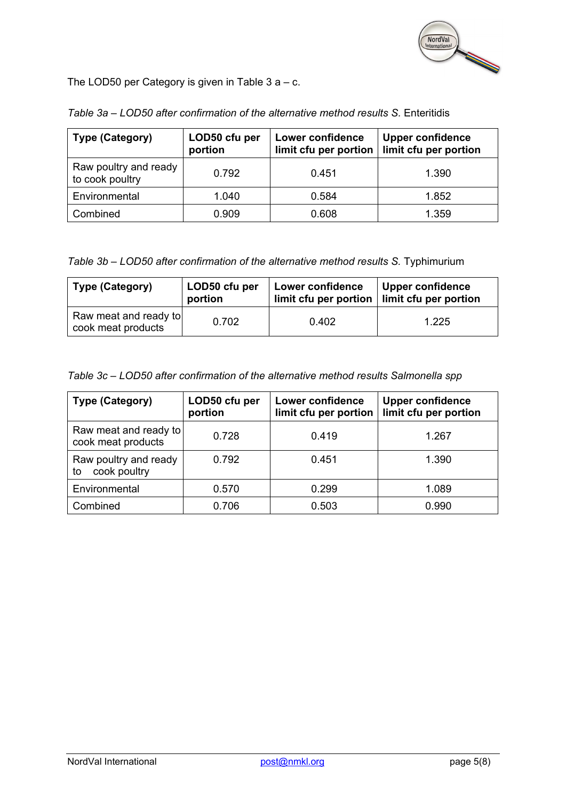

The LOD50 per Category is given in Table  $3 a - c$ .

| <b>Type (Category)</b>                   | LOD50 cfu per<br>portion | <b>Lower confidence</b><br>limit cfu per portion | <b>Upper confidence</b><br>limit cfu per portion |
|------------------------------------------|--------------------------|--------------------------------------------------|--------------------------------------------------|
| Raw poultry and ready<br>to cook poultry | 0.792                    | 0.451                                            | 1.390                                            |
| Environmental                            | 1.040                    | 0.584                                            | 1.852                                            |
| Combined                                 | 0.909                    | 0.608                                            | 1.359                                            |

*Table 3a – LOD50 after confirmation of the alternative method results S.* Enteritidis

*Table 3b – LOD50 after confirmation of the alternative method results S.* Typhimurium

| Type (Category)                             | LOD50 cfu per<br>portion | <b>Lower confidence</b><br>$limit$ cfu per portion $ $ limit cfu per portion | Upper confidence |
|---------------------------------------------|--------------------------|------------------------------------------------------------------------------|------------------|
| Raw meat and ready to<br>cook meat products | 0.702                    | 0.402                                                                        | 1.225            |

*Table 3c – LOD50 after confirmation of the alternative method results Salmonella spp*

| <b>Type (Category)</b>                      | LOD50 cfu per<br>portion | <b>Lower confidence</b><br>limit cfu per portion | <b>Upper confidence</b><br>limit cfu per portion |  |  |
|---------------------------------------------|--------------------------|--------------------------------------------------|--------------------------------------------------|--|--|
| Raw meat and ready to<br>cook meat products | 0.728                    | 0.419                                            | 1.267                                            |  |  |
| Raw poultry and ready<br>cook poultry<br>to | 0.792                    | 0.451                                            | 1.390                                            |  |  |
| Environmental                               | 0.570                    | 0.299                                            | 1.089                                            |  |  |
| Combined                                    | 0.706                    | 0.503                                            | 0.990                                            |  |  |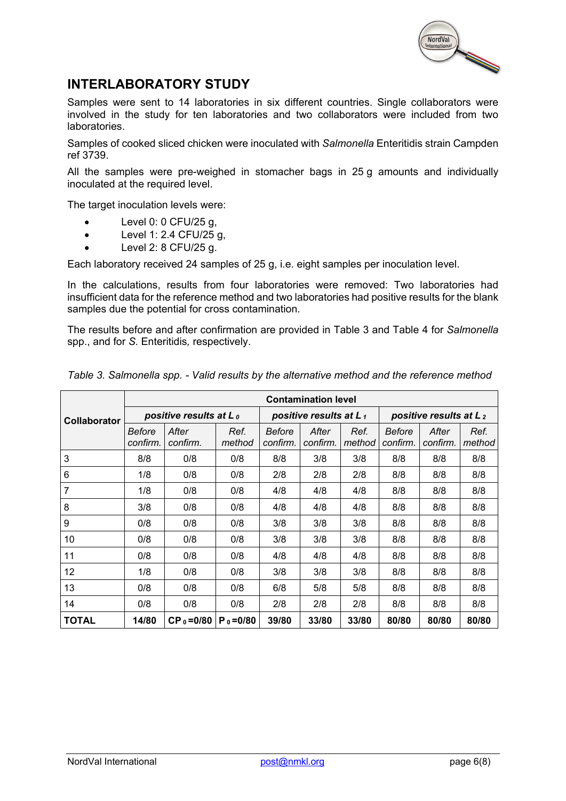

## **INTERLABORATORY STUDY**

Samples were sent to 14 laboratories in six different countries. Single collaborators were involved in the study for ten laboratories and two collaborators were included from two laboratories.

Samples of cooked sliced chicken were inoculated with *Salmonella* Enteritidis strain Campden ref 3739.

All the samples were pre-weighed in stomacher bags in 25 g amounts and individually inoculated at the required level.

The target inoculation levels were:

- Level 0: 0 CFU/25 g,
- Level 1: 2.4 CFU/25 g,
- $\bullet$  Level 2: 8 CFU/25 g.

Each laboratory received 24 samples of 25 g, i.e. eight samples per inoculation level.

In the calculations, results from four laboratories were removed: Two laboratories had insufficient data for the reference method and two laboratories had positive results for the blank samples due the potential for cross contamination.

The results before and after confirmation are provided in Table 3 and Table 4 for *Salmonella* spp., and for *S.* Enteritidis*,* respectively.

|                     |                    |                           |                |                           | <b>Contamination level</b> |                |                                    |                   |                |
|---------------------|--------------------|---------------------------|----------------|---------------------------|----------------------------|----------------|------------------------------------|-------------------|----------------|
| <b>Collaborator</b> |                    | positive results at $L_0$ |                |                           | positive results at $L_1$  |                | positive results at L <sub>2</sub> |                   |                |
|                     | Before<br>confirm. | After<br>confirm.         | Ref.<br>method | <b>Before</b><br>confirm. | After<br>confirm.          | Ref.<br>method | <b>Before</b><br>confirm.          | After<br>confirm. | Ref.<br>method |
| 3                   | 8/8                | 0/8                       | 0/8            | 8/8                       | 3/8                        | 3/8            | 8/8                                | 8/8               | 8/8            |
| 6                   | 1/8                | 0/8                       | 0/8            | 2/8                       | 2/8                        | 2/8            | 8/8                                | 8/8               | 8/8            |
| $\overline{7}$      | 1/8                | 0/8                       | 0/8            | 4/8                       | 4/8                        | 4/8            | 8/8                                | 8/8               | 8/8            |
| 8                   | 3/8                | 0/8                       | 0/8            | 4/8                       | 4/8                        | 4/8            | 8/8                                | 8/8               | 8/8            |
| 9                   | 0/8                | 0/8                       | 0/8            | 3/8                       | 3/8                        | 3/8            | 8/8                                | 8/8               | 8/8            |
| 10                  | 0/8                | 0/8                       | 0/8            | 3/8                       | 3/8                        | 3/8            | 8/8                                | 8/8               | 8/8            |
| 11                  | 0/8                | 0/8                       | 0/8            | 4/8                       | 4/8                        | 4/8            | 8/8                                | 8/8               | 8/8            |
| 12                  | 1/8                | 0/8                       | 0/8            | 3/8                       | 3/8                        | 3/8            | 8/8                                | 8/8               | 8/8            |
| 13                  | 0/8                | 0/8                       | 0/8            | 6/8                       | 5/8                        | 5/8            | 8/8                                | 8/8               | 8/8            |
| 14                  | 0/8                | 0/8                       | 0/8            | 2/8                       | 2/8                        | 2/8            | 8/8                                | 8/8               | 8/8            |
| <b>TOTAL</b>        | 14/80              | $CP_0 = 0/80$             | $P_0 = 0/80$   | 39/80                     | 33/80                      | 33/80          | 80/80                              | 80/80             | 80/80          |

*Table 3. Salmonella spp. - Valid results by the alternative method and the reference method*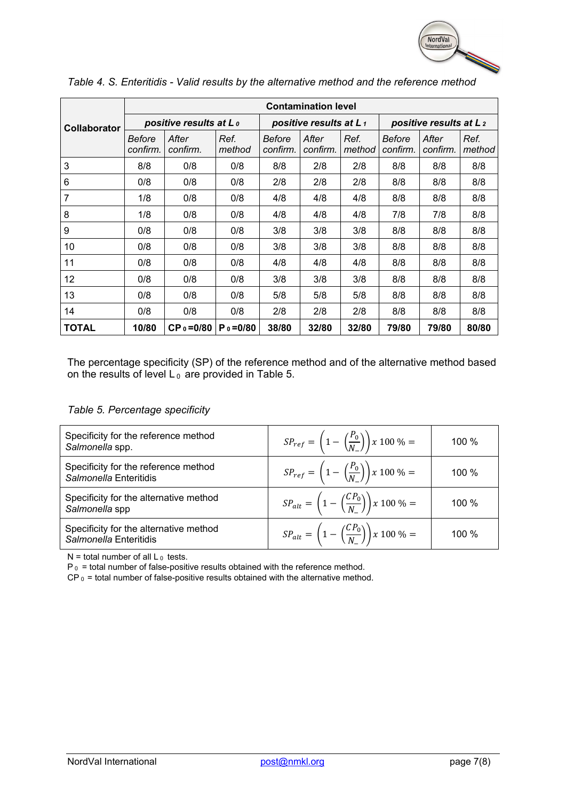

|                     | <b>Contamination level</b> |                                       |                |                    |                                    |                |                                    |                   |                |  |
|---------------------|----------------------------|---------------------------------------|----------------|--------------------|------------------------------------|----------------|------------------------------------|-------------------|----------------|--|
| <b>Collaborator</b> |                            | positive results at L <sub>0</sub>    |                |                    | positive results at L <sub>1</sub> |                | positive results at L <sub>2</sub> |                   |                |  |
|                     | Before<br>confirm.         | After<br>confirm.                     | Ref.<br>method | Before<br>confirm. | After<br>confirm.                  | Ref.<br>method | Before<br>confirm.                 | After<br>confirm. | Ref.<br>method |  |
| 3                   | 8/8                        | 0/8                                   | 0/8            | 8/8                | 2/8                                | 2/8            | 8/8                                | 8/8               | 8/8            |  |
| 6                   | 0/8                        | 0/8                                   | 0/8            | 2/8                | 2/8                                | 2/8            | 8/8                                | 8/8               | 8/8            |  |
| $\overline{7}$      | 1/8                        | 0/8                                   | 0/8            | 4/8                | 4/8                                | 4/8            | 8/8                                | 8/8               | 8/8            |  |
| 8                   | 1/8                        | 0/8                                   | 0/8            | 4/8                | 4/8                                | 4/8            | 7/8                                | 7/8               | 8/8            |  |
| 9                   | 0/8                        | 0/8                                   | 0/8            | 3/8                | 3/8                                | 3/8            | 8/8                                | 8/8               | 8/8            |  |
| 10                  | 0/8                        | 0/8                                   | 0/8            | 3/8                | 3/8                                | 3/8            | 8/8                                | 8/8               | 8/8            |  |
| 11                  | 0/8                        | 0/8                                   | 0/8            | 4/8                | 4/8                                | 4/8            | 8/8                                | 8/8               | 8/8            |  |
| 12                  | 0/8                        | 0/8                                   | 0/8            | 3/8                | 3/8                                | 3/8            | 8/8                                | 8/8               | 8/8            |  |
| 13                  | 0/8                        | 0/8                                   | 0/8            | 5/8                | 5/8                                | 5/8            | 8/8                                | 8/8               | 8/8            |  |
| 14                  | 0/8                        | 0/8                                   | 0/8            | 2/8                | 2/8                                | 2/8            | 8/8                                | 8/8               | 8/8            |  |
| <b>TOTAL</b>        | 10/80                      | $CP_0 = 0/80$   P <sub>0</sub> = 0/80 |                | 38/80              | 32/80                              | 32/80          | 79/80                              | 79/80             | 80/80          |  |

*Table 4. S. Enteritidis - Valid results by the alternative method and the reference method*

The percentage specificity (SP) of the reference method and of the alternative method based on the results of level L $_{\rm 0}$  are provided in Table 5.

|  | Table 5. Percentage specificity |  |
|--|---------------------------------|--|
|--|---------------------------------|--|

| Specificity for the reference method<br>Salmonella spp.          | $SP_{ref} = \left(1 - \left(\frac{P_0}{N}\right)\right) x 100 \% =$  | 100 % |
|------------------------------------------------------------------|----------------------------------------------------------------------|-------|
| Specificity for the reference method<br>Salmonella Enteritidis   | $SP_{ref} = \left(1 - \left(\frac{P_0}{N}\right)\right) x 100\% =$   | 100 % |
| Specificity for the alternative method<br>Salmonella spp         | $SP_{alt} = \left(1 - \left(\frac{CP_0}{N}\right)\right) x 100 \% =$ | 100 % |
| Specificity for the alternative method<br>Salmonella Enteritidis | $SP_{alt} = \left(1 - \left(\frac{CP_0}{N}\right)\right) x 100 \% =$ | 100 % |

 $N =$  total number of all  $L_0$  tests.

 $P_0$  = total number of false-positive results obtained with the reference method.

 $CP_0$  = total number of false-positive results obtained with the alternative method.